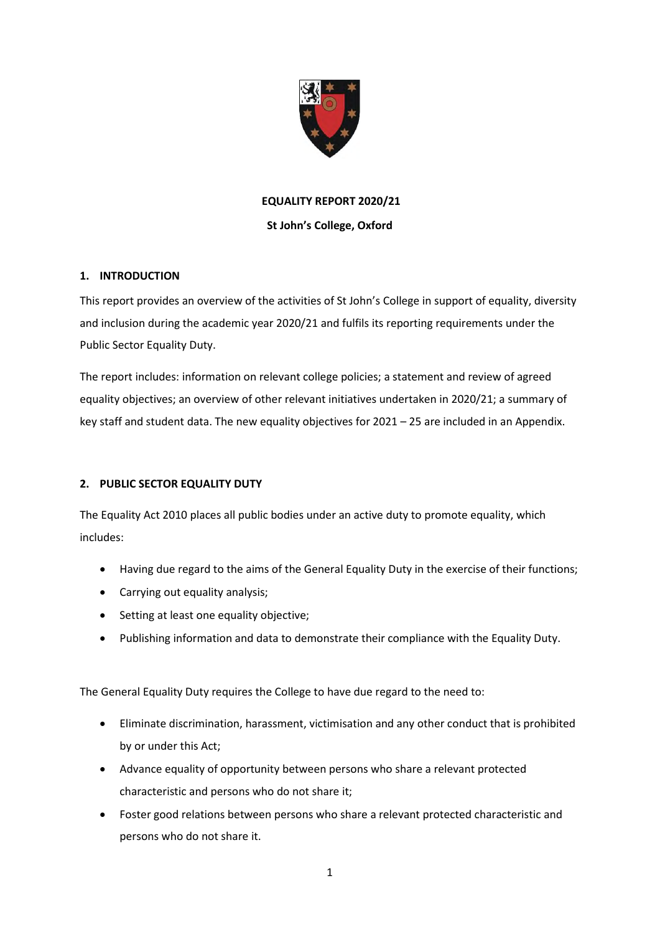

# **EQUALITY REPORT 2020/21**

## **St John's College, Oxford**

# **1. INTRODUCTION**

This report provides an overview of the activities of St John's College in support of equality, diversity and inclusion during the academic year 2020/21 and fulfils its reporting requirements under the Public Sector Equality Duty.

The report includes: information on relevant college policies; a statement and review of agreed equality objectives; an overview of other relevant initiatives undertaken in 2020/21; a summary of key staff and student data. The new equality objectives for 2021 – 25 are included in an Appendix.

# **2. PUBLIC SECTOR EQUALITY DUTY**

The Equality Act 2010 places all public bodies under an active duty to promote equality, which includes:

- Having due regard to the aims of the General Equality Duty in the exercise of their functions;
- Carrying out equality analysis;
- Setting at least one equality objective;
- Publishing information and data to demonstrate their compliance with the Equality Duty.

The General Equality Duty requires the College to have due regard to the need to:

- Eliminate discrimination, harassment, victimisation and any other conduct that is prohibited by or under this Act;
- Advance equality of opportunity between persons who share a relevant protected characteristic and persons who do not share it;
- Foster good relations between persons who share a relevant protected characteristic and persons who do not share it.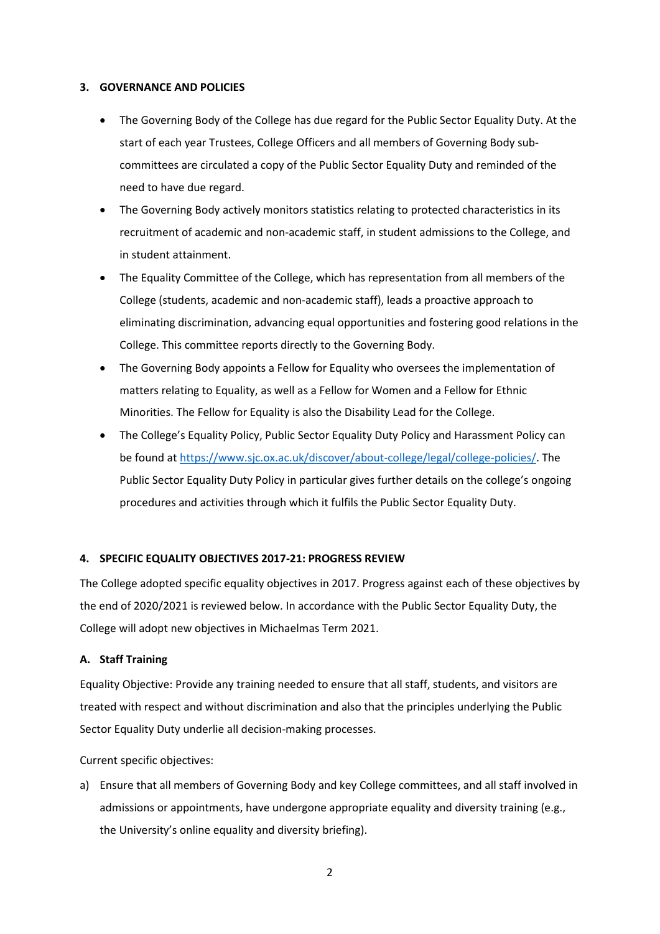#### **3. GOVERNANCE AND POLICIES**

- The Governing Body of the College has due regard for the Public Sector Equality Duty. At the start of each year Trustees, College Officers and all members of Governing Body subcommittees are circulated a copy of the Public Sector Equality Duty and reminded of the need to have due regard.
- The Governing Body actively monitors statistics relating to protected characteristics in its recruitment of academic and non-academic staff, in student admissions to the College, and in student attainment.
- The Equality Committee of the College, which has representation from all members of the College (students, academic and non-academic staff), leads a proactive approach to eliminating discrimination, advancing equal opportunities and fostering good relations in the College. This committee reports directly to the Governing Body.
- The Governing Body appoints a Fellow for Equality who oversees the implementation of matters relating to Equality, as well as a Fellow for Women and a Fellow for Ethnic Minorities. The Fellow for Equality is also the Disability Lead for the College.
- The College's Equality Policy, Public Sector Equality Duty Policy and Harassment Policy can be found at https://www.sjc.ox.ac.uk/discover/about-college/legal/college-policies/. The Public Sector Equality Duty Policy in particular gives further details on the college's ongoing procedures and activities through which it fulfils the Public Sector Equality Duty.

#### **4. SPECIFIC EQUALITY OBJECTIVES 2017-21: PROGRESS REVIEW**

The College adopted specific equality objectives in 2017. Progress against each of these objectives by the end of 2020/2021 is reviewed below. In accordance with the Public Sector Equality Duty, the College will adopt new objectives in Michaelmas Term 2021.

#### **A. Staff Training**

Equality Objective: Provide any training needed to ensure that all staff, students, and visitors are treated with respect and without discrimination and also that the principles underlying the Public Sector Equality Duty underlie all decision-making processes.

Current specific objectives:

a) Ensure that all members of Governing Body and key College committees, and all staff involved in admissions or appointments, have undergone appropriate equality and diversity training (e.g., the University's online equality and diversity briefing).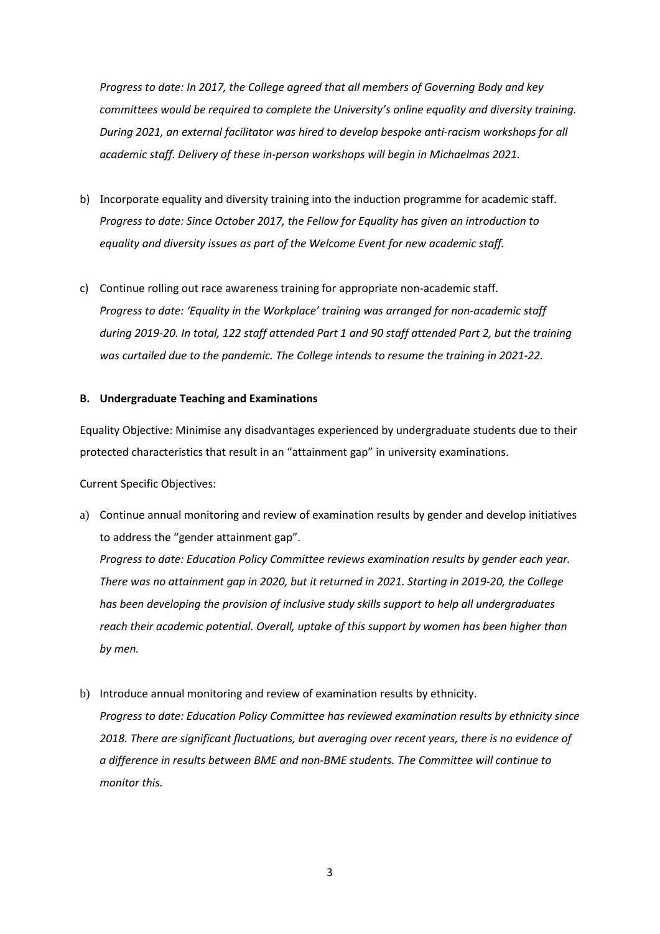*Progress to date: In 2017, the College agreed that all members of Governing Body and key committees would be required to complete the University's online equality and diversity training. During 2021, an external facilitator was hired to develop bespoke anti-racism workshops for all academic staff. Delivery of these in-person workshops will begin in Michaelmas 2021.* 

- b) Incorporate equality and diversity training into the induction programme for academic staff. *Progress to date: Since October 2017, the Fellow for Equality has given an introduction to equality and diversity issues as part of the Welcome Event for new academic staff.*
- c) Continue rolling out race awareness training for appropriate non-academic staff. *Progress to date: 'Equality in the Workplace' training was arranged for non-academic staff during 2019-20. In total, 122 staff attended Part 1 and 90 staff attended Part 2, but the training was curtailed due to the pandemic. The College intends to resume the training in 2021-22.*

#### **B. Undergraduate Teaching and Examinations**

Equality Objective: Minimise any disadvantages experienced by undergraduate students due to their protected characteristics that result in an "attainment gap" in university examinations.

Current Specific Objectives:

- a) Continue annual monitoring and review of examination results by gender and develop initiatives to address the "gender attainment gap". *Progress to date: Education Policy Committee reviews examination results by gender each year. There was no attainment gap in 2020, but it returned in 2021. Starting in 2019-20, the College has been developing the provision of inclusive study skills support to help all undergraduates reach their academic potential. Overall, uptake of this support by women has been higher than by men.*
- b) Introduce annual monitoring and review of examination results by ethnicity. *Progress to date: Education Policy Committee has reviewed examination results by ethnicity since 2018. There are significant fluctuations, but averaging over recent years, there is no evidence of a difference in results between BME and non-BME students. The Committee will continue to monitor this.*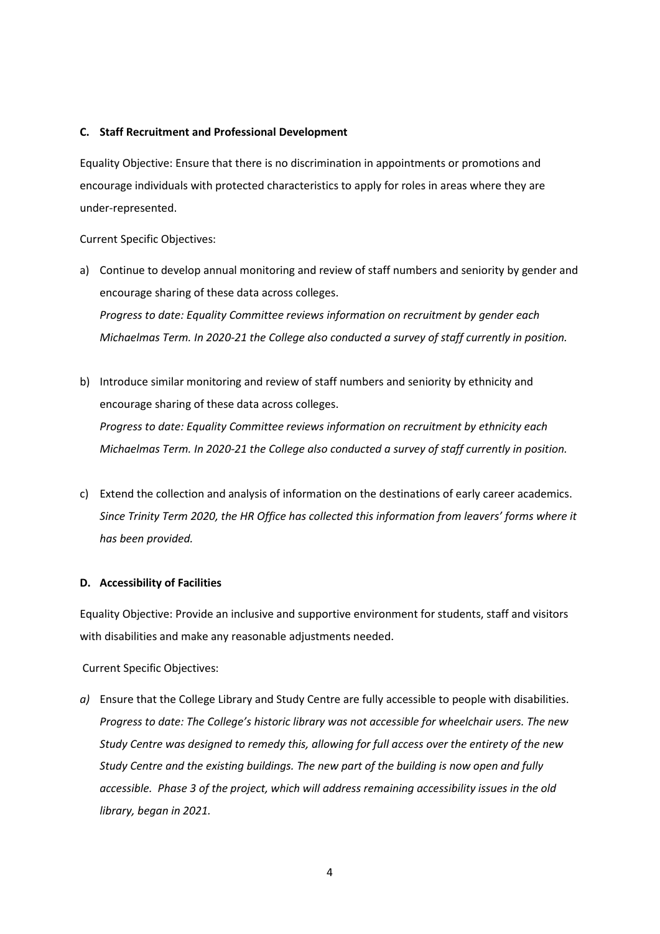#### **C. Staff Recruitment and Professional Development**

Equality Objective: Ensure that there is no discrimination in appointments or promotions and encourage individuals with protected characteristics to apply for roles in areas where they are under-represented.

Current Specific Objectives:

- a) Continue to develop annual monitoring and review of staff numbers and seniority by gender and encourage sharing of these data across colleges. *Progress to date: Equality Committee reviews information on recruitment by gender each Michaelmas Term. In 2020-21 the College also conducted a survey of staff currently in position.*
- b) Introduce similar monitoring and review of staff numbers and seniority by ethnicity and encourage sharing of these data across colleges. *Progress to date: Equality Committee reviews information on recruitment by ethnicity each Michaelmas Term. In 2020-21 the College also conducted a survey of staff currently in position.*
- c) Extend the collection and analysis of information on the destinations of early career academics. *Since Trinity Term 2020, the HR Office has collected this information from leavers' forms where it has been provided.*

#### **D. Accessibility of Facilities**

Equality Objective: Provide an inclusive and supportive environment for students, staff and visitors with disabilities and make any reasonable adjustments needed.

Current Specific Objectives:

*a)* Ensure that the College Library and Study Centre are fully accessible to people with disabilities. *Progress to date: The College's historic library was not accessible for wheelchair users. The new Study Centre was designed to remedy this, allowing for full access over the entirety of the new Study Centre and the existing buildings. The new part of the building is now open and fully accessible. Phase 3 of the project, which will address remaining accessibility issues in the old library, began in 2021.*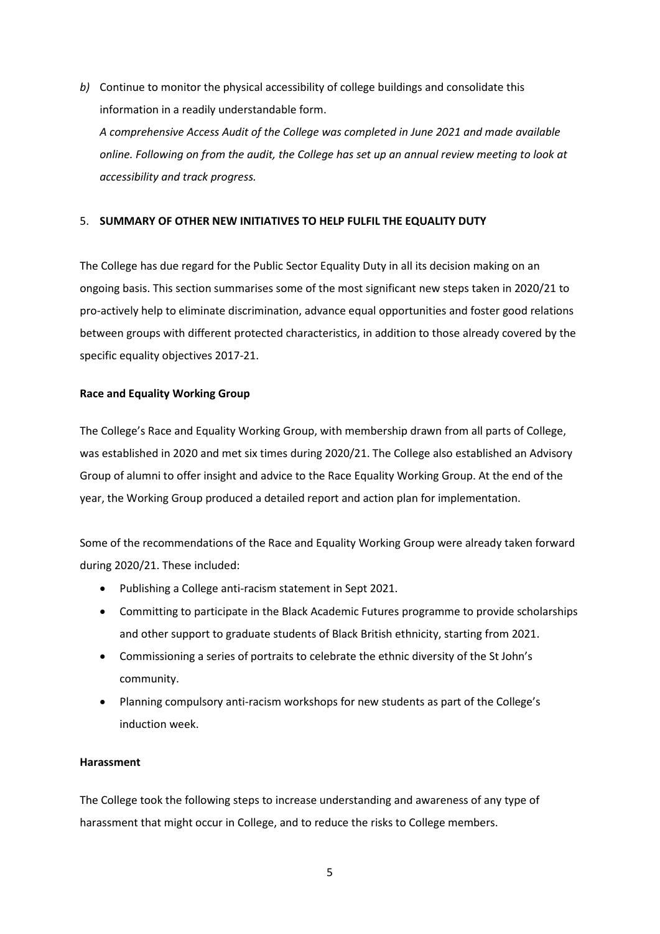*b)* Continue to monitor the physical accessibility of college buildings and consolidate this information in a readily understandable form.

*A comprehensive Access Audit of the College was completed in June 2021 and made available online. Following on from the audit, the College has set up an annual review meeting to look at accessibility and track progress.* 

## 5. **SUMMARY OF OTHER NEW INITIATIVES TO HELP FULFIL THE EQUALITY DUTY**

The College has due regard for the Public Sector Equality Duty in all its decision making on an ongoing basis. This section summarises some of the most significant new steps taken in 2020/21 to pro-actively help to eliminate discrimination, advance equal opportunities and foster good relations between groups with different protected characteristics, in addition to those already covered by the specific equality objectives 2017-21.

#### **Race and Equality Working Group**

The College's Race and Equality Working Group, with membership drawn from all parts of College, was established in 2020 and met six times during 2020/21. The College also established an Advisory Group of alumni to offer insight and advice to the Race Equality Working Group. At the end of the year, the Working Group produced a detailed report and action plan for implementation.

Some of the recommendations of the Race and Equality Working Group were already taken forward during 2020/21. These included:

- Publishing a College anti-racism statement in Sept 2021.
- Committing to participate in the Black Academic Futures programme to provide scholarships and other support to graduate students of Black British ethnicity, starting from 2021.
- Commissioning a series of portraits to celebrate the ethnic diversity of the St John's community.
- Planning compulsory anti-racism workshops for new students as part of the College's induction week.

#### **Harassment**

The College took the following steps to increase understanding and awareness of any type of harassment that might occur in College, and to reduce the risks to College members.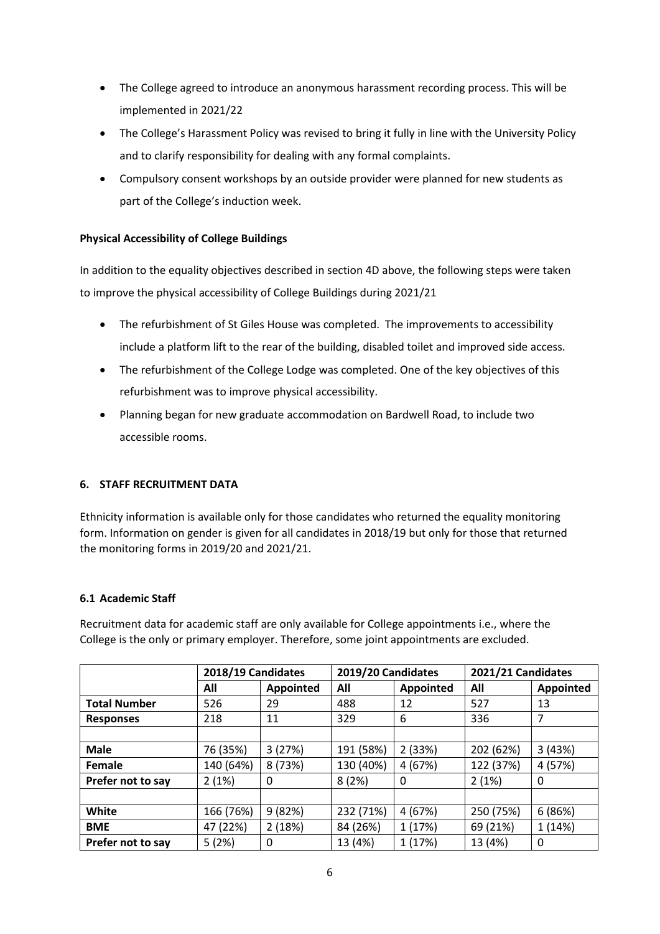- The College agreed to introduce an anonymous harassment recording process. This will be implemented in 2021/22
- The College's Harassment Policy was revised to bring it fully in line with the University Policy and to clarify responsibility for dealing with any formal complaints.
- Compulsory consent workshops by an outside provider were planned for new students as part of the College's induction week.

## **Physical Accessibility of College Buildings**

In addition to the equality objectives described in section 4D above, the following steps were taken to improve the physical accessibility of College Buildings during 2021/21

- The refurbishment of St Giles House was completed. The improvements to accessibility include a platform lift to the rear of the building, disabled toilet and improved side access.
- The refurbishment of the College Lodge was completed. One of the key objectives of this refurbishment was to improve physical accessibility.
- Planning began for new graduate accommodation on Bardwell Road, to include two accessible rooms.

## **6. STAFF RECRUITMENT DATA**

Ethnicity information is available only for those candidates who returned the equality monitoring form. Information on gender is given for all candidates in 2018/19 but only for those that returned the monitoring forms in 2019/20 and 2021/21.

## **6.1 Academic Staff**

Recruitment data for academic staff are only available for College appointments i.e., where the College is the only or primary employer. Therefore, some joint appointments are excluded.

|                     | 2018/19 Candidates |           | 2019/20 Candidates |           | 2021/21 Candidates |           |
|---------------------|--------------------|-----------|--------------------|-----------|--------------------|-----------|
|                     | All                | Appointed | All                | Appointed | All                | Appointed |
| <b>Total Number</b> | 526                | 29        | 488                | 12        | 527                | 13        |
| <b>Responses</b>    | 218                | 11        | 329                | 6         | 336                | 7         |
|                     |                    |           |                    |           |                    |           |
| <b>Male</b>         | 76 (35%)           | 3(27%)    | 191 (58%)          | 2(33%)    | 202 (62%)          | 3(43%)    |
| Female              | 140 (64%)          | 8 (73%)   | 130 (40%)          | 4 (67%)   | 122 (37%)          | 4 (57%)   |
| Prefer not to say   | 2(1%)              | 0         | 8(2%)              | 0         | 2(1%)              | 0         |
|                     |                    |           |                    |           |                    |           |
| White               | 166 (76%)          | 9(82%)    | 232 (71%)          | 4 (67%)   | 250 (75%)          | 6(86%)    |
| <b>BME</b>          | 47 (22%)           | 2(18%)    | 84 (26%)           | 1(17%)    | 69 (21%)           | 1 (14%)   |
| Prefer not to say   | 5(2%)              | 0         | 13 (4%)            | 1 (17%)   | 13 (4%)            | 0         |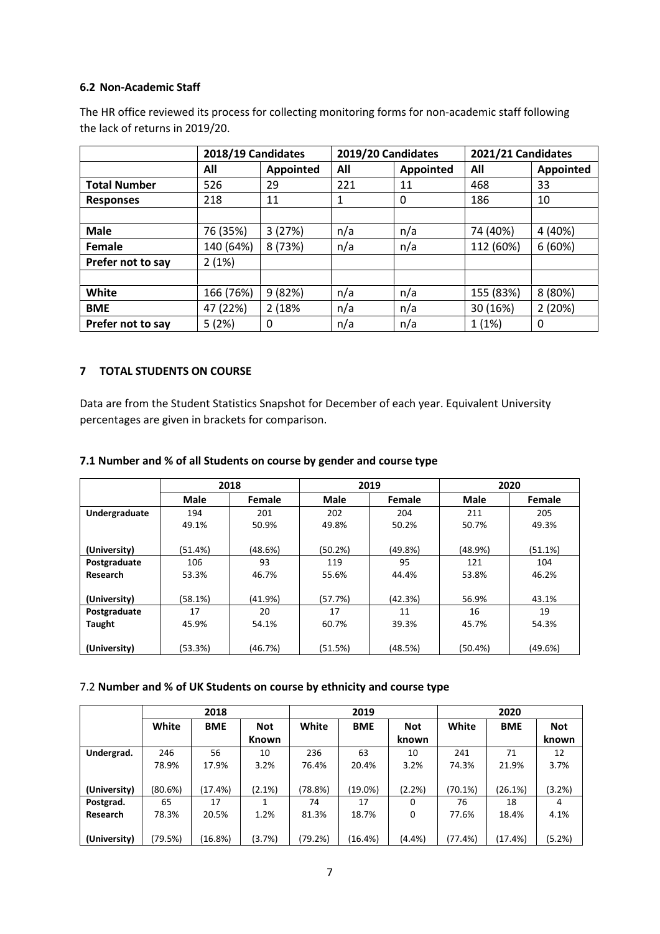### **6.2 Non-Academic Staff**

The HR office reviewed its process for collecting monitoring forms for non-academic staff following the lack of returns in 2019/20.

|                     | 2018/19 Candidates |           | 2019/20 Candidates |           | 2021/21 Candidates |           |
|---------------------|--------------------|-----------|--------------------|-----------|--------------------|-----------|
|                     | All                | Appointed | All                | Appointed | All                | Appointed |
| <b>Total Number</b> | 526                | 29        | 221                | 11        | 468                | 33        |
| <b>Responses</b>    | 218                | 11        | 1                  | 0         | 186                | 10        |
|                     |                    |           |                    |           |                    |           |
| <b>Male</b>         | 76 (35%)           | 3(27%)    | n/a                | n/a       | 74 (40%)           | 4 (40%)   |
| Female              | 140 (64%)          | 8 (73%)   | n/a                | n/a       | 112 (60%)          | 6(60%)    |
| Prefer not to say   | 2(1%)              |           |                    |           |                    |           |
|                     |                    |           |                    |           |                    |           |
| White               | 166 (76%)          | 9(82%)    | n/a                | n/a       | 155 (83%)          | 8 (80%)   |
| <b>BME</b>          | 47 (22%)           | 2 (18%    | n/a                | n/a       | 30 (16%)           | 2(20%)    |
| Prefer not to say   | 5(2%)              | 0         | n/a                | n/a       | 1(1%)              | 0         |

## **7 TOTAL STUDENTS ON COURSE**

Data are from the Student Statistics Snapshot for December of each year. Equivalent University percentages are given in brackets for comparison.

## **7.1 Number and % of all Students on course by gender and course type**

|               |             | 2018    |             | 2019    |             | 2020    |
|---------------|-------------|---------|-------------|---------|-------------|---------|
|               | <b>Male</b> | Female  | <b>Male</b> | Female  | <b>Male</b> | Female  |
| Undergraduate | 194         | 201     | 202         | 204     | 211         | 205     |
|               | 49.1%       | 50.9%   | 49.8%       | 50.2%   | 50.7%       | 49.3%   |
|               |             |         |             |         |             |         |
| (University)  | (51.4%)     | (48.6%) | (50.2%)     | (49.8%) | (48.9%)     | (51.1%) |
| Postgraduate  | 106         | 93      | 119         | 95      | 121         | 104     |
| Research      | 53.3%       | 46.7%   | 55.6%       | 44.4%   | 53.8%       | 46.2%   |
|               |             |         |             |         |             |         |
| (University)  | (58.1%)     | (41.9%) | (57.7%)     | (42.3%) | 56.9%       | 43.1%   |
| Postgraduate  | 17          | 20      | 17          | 11      | 16          | 19      |
| Taught        | 45.9%       | 54.1%   | 60.7%       | 39.3%   | 45.7%       | 54.3%   |
|               |             |         |             |         |             |         |
| (University)  | (53.3%)     | (46.7%) | (51.5%)     | (48.5%) | (50.4%)     | (49.6%) |

## 7.2 **Number and % of UK Students on course by ethnicity and course type**

|              |         | 2018       |            |         | 2019       |            | 2020    |            |            |
|--------------|---------|------------|------------|---------|------------|------------|---------|------------|------------|
|              | White   | <b>BME</b> | <b>Not</b> | White   | <b>BME</b> | <b>Not</b> | White   | <b>BME</b> | <b>Not</b> |
|              |         |            | Known      |         |            | known      |         |            | known      |
| Undergrad.   | 246     | 56         | 10         | 236     | 63         | 10         | 241     | 71         | 12         |
|              | 78.9%   | 17.9%      | 3.2%       | 76.4%   | 20.4%      | 3.2%       | 74.3%   | 21.9%      | 3.7%       |
|              |         |            |            |         |            |            |         |            |            |
| (University) | (80.6%) | (17.4%)    | $(2.1\%)$  | (78.8%) | (19.0%)    | (2.2%)     | (70.1%) | (26.1%)    | (3.2%)     |
| Postgrad.    | 65      | 17         |            | 74      | 17         | 0          | 76      | 18         | 4          |
| Research     | 78.3%   | 20.5%      | 1.2%       | 81.3%   | 18.7%      | 0          | 77.6%   | 18.4%      | 4.1%       |
|              |         |            |            |         |            |            |         |            |            |
| (University) | (79.5%) | (16.8%)    | $(3.7\%)$  | (79.2%) | (16.4%)    | $(4.4\%)$  | (77.4%) | (17.4%)    | (5.2%)     |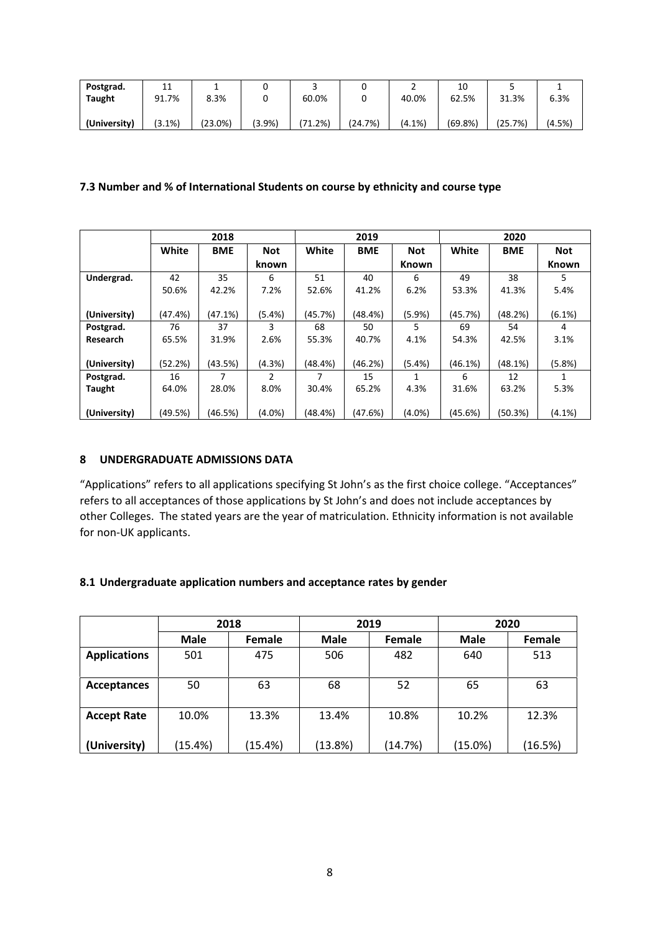| Postgrad.     | 11<br>ᆠᅶ | ٠.      |           |                 | ุ       | -         | 10      |         |        |
|---------------|----------|---------|-----------|-----------------|---------|-----------|---------|---------|--------|
| <b>Taught</b> | 91.7%    | 8.3%    |           | 60.0%           | ື       | 40.0%     | 62.5%   | 31.3%   | 6.3%   |
|               |          |         |           |                 |         |           |         |         |        |
| (University)  | (3.1%)   | (23.0%) | $(3.9\%)$ | 71<br>$(1.2\%)$ | (24.7%) | $(4.1\%)$ | (69.8%) | (25.7%) | (4.5%) |

## **7.3 Number and % of International Students on course by ethnicity and course type**

|              |         | 2018       |               |         | 2019       |              |            | 2020       |              |
|--------------|---------|------------|---------------|---------|------------|--------------|------------|------------|--------------|
|              | White   | <b>BME</b> | <b>Not</b>    | White   | <b>BME</b> | <b>Not</b>   | White      | <b>BME</b> | <b>Not</b>   |
|              |         |            | known         |         |            | <b>Known</b> |            |            | <b>Known</b> |
| Undergrad.   | 42      | 35         | 6             | 51      | 40         | 6            | 49         | 38         | 5.           |
|              | 50.6%   | 42.2%      | 7.2%          | 52.6%   | 41.2%      | 6.2%         | 53.3%      | 41.3%      | 5.4%         |
|              |         |            |               |         |            |              |            |            |              |
| (University) | (47.4%) | (47.1%)    | $(5.4\%)$     | (45.7%) | (48.4%)    | (5.9%)       | (45.7%)    | (48.2%)    | $(6.1\%)$    |
| Postgrad.    | 76      | 37         | 3             | 68      | 50         | 5            | 69         | 54         | 4            |
| Research     | 65.5%   | 31.9%      | 2.6%          | 55.3%   | 40.7%      | 4.1%         | 54.3%      | 42.5%      | 3.1%         |
|              |         |            |               |         |            |              |            |            |              |
| (University) | (52.2%) | (43.5%)    | (4.3%)        | (48.4%) | (46.2%)    | $(5.4\%)$    | $(46.1\%)$ | (48.1%)    | (5.8% )      |
| Postgrad.    | 16      | 7          | $\mathfrak z$ | 7       | 15         | 1            | 6          | 12         |              |
| Taught       | 64.0%   | 28.0%      | 8.0%          | 30.4%   | 65.2%      | 4.3%         | 31.6%      | 63.2%      | 5.3%         |
|              |         |            |               |         |            |              |            |            |              |
| (University) | (49.5%) | (46.5%)    | $(4.0\%)$     | (48.4%) | (47.6%)    | (4.0%)       | (45.6%)    | (50.3%)    | $(4.1\%)$    |

## **8 UNDERGRADUATE ADMISSIONS DATA**

"Applications" refers to all applications specifying St John's as the first choice college. "Acceptances" refers to all acceptances of those applications by St John's and does not include acceptances by other Colleges. The stated years are the year of matriculation. Ethnicity information is not available for non-UK applicants.

## **8.1 Undergraduate application numbers and acceptance rates by gender**

|                     |             | 2018          |             | 2019          | 2020        |         |  |
|---------------------|-------------|---------------|-------------|---------------|-------------|---------|--|
|                     | <b>Male</b> | <b>Female</b> | <b>Male</b> | <b>Female</b> | <b>Male</b> | Female  |  |
| <b>Applications</b> | 501         | 475           | 506         | 482           | 640         | 513     |  |
| <b>Acceptances</b>  | 50          | 63            | 68          | 52            | 65          | 63      |  |
| <b>Accept Rate</b>  | 10.0%       | 13.3%         | 13.4%       | 10.8%         | 10.2%       | 12.3%   |  |
| (University)        | (15.4%)     | (15.4%)       | (13.8%)     | (14.7%)       | (15.0%)     | (16.5%) |  |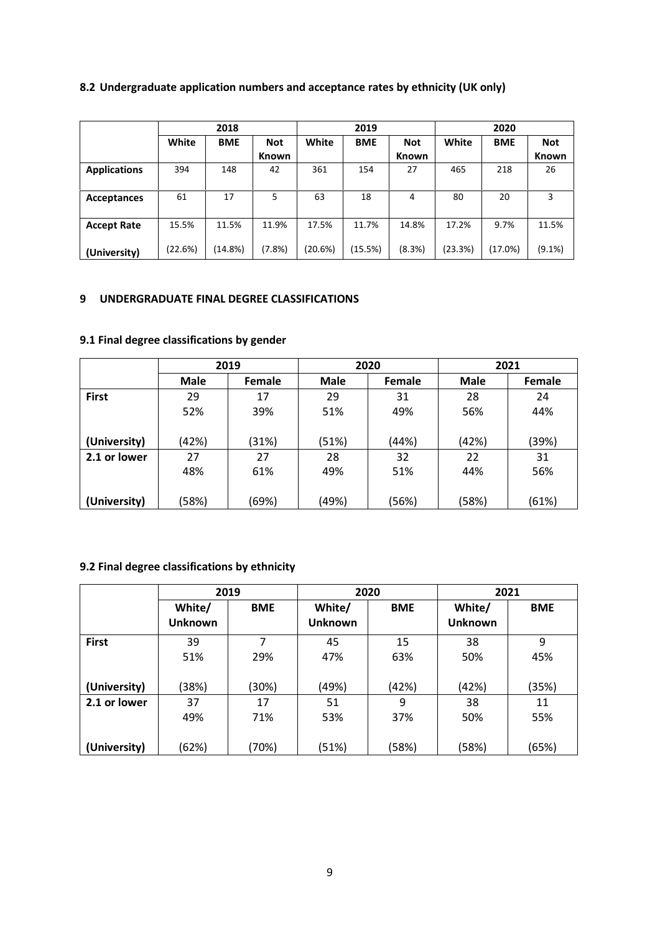# **8.2 Undergraduate application numbers and acceptance rates by ethnicity (UK only)**

|                     |         | 2018       |            |         | 2019       |              | 2020    |            |              |
|---------------------|---------|------------|------------|---------|------------|--------------|---------|------------|--------------|
|                     | White   | <b>BME</b> | <b>Not</b> | White   | <b>BME</b> | <b>Not</b>   | White   | <b>BME</b> | <b>Not</b>   |
|                     |         |            | Known      |         |            | <b>Known</b> |         |            | <b>Known</b> |
| <b>Applications</b> | 394     | 148        | 42         | 361     | 154        | 27           | 465     | 218        | 26           |
|                     |         |            |            |         |            |              |         |            |              |
| Acceptances         | 61      | 17         | 5          | 63      | 18         | 4            | 80      | 20         | 3            |
|                     |         |            |            |         |            |              |         |            |              |
| <b>Accept Rate</b>  | 15.5%   | 11.5%      | 11.9%      | 17.5%   | 11.7%      | 14.8%        | 17.2%   | 9.7%       | 11.5%        |
| (University)        | (22.6%) | (14.8%)    | $(7.8\%)$  | (20.6%) | (15.5%)    | (8.3%)       | (23.3%) | (17.0%)    | (9.1%)       |

## **9 UNDERGRADUATE FINAL DEGREE CLASSIFICATIONS**

# **9.1 Final degree classifications by gender**

|              |             | 2019   |             | 2020          | 2021        |        |
|--------------|-------------|--------|-------------|---------------|-------------|--------|
|              | <b>Male</b> | Female | <b>Male</b> | <b>Female</b> | <b>Male</b> | Female |
| <b>First</b> | 29          | 17     | 29          | 31            | 28          | 24     |
|              | 52%         | 39%    | 51%         | 49%           | 56%         | 44%    |
| (University) | (42%)       | (31%)  | (51%)       | (44%)         | (42%)       | (39%)  |
| 2.1 or lower | 27          | 27     | 28          | 32            | 22          | 31     |
|              | 48%         | 61%    | 49%         | 51%           | 44%         | 56%    |
|              |             |        |             |               |             |        |
| (University) | (58%)       | (69%)  | (49%)       | (56%)         | (58%)       | (61%)  |

# **9.2 Final degree classifications by ethnicity**

|              | 2019           |            | 2020           |            | 2021           |            |
|--------------|----------------|------------|----------------|------------|----------------|------------|
|              | White/         | <b>BME</b> | White/         | <b>BME</b> | White/         | <b>BME</b> |
|              | <b>Unknown</b> |            | <b>Unknown</b> |            | <b>Unknown</b> |            |
| <b>First</b> | 39             |            | 45             | 15         | 38             | 9          |
|              | 51%            | 29%        | 47%            | 63%        | 50%            | 45%        |
|              |                |            |                |            |                |            |
| (University) | (38%)          | (30%)      | (49%)          | (42%)      | (42%)          | (35%)      |
| 2.1 or lower | 37             | 17         | 51             | 9          | 38             | 11         |
|              | 49%            | 71%        | 53%            | 37%        | 50%            | 55%        |
|              |                |            |                |            |                |            |
| (University) | (62%)          | (70%)      | (51%)          | (58%)      | (58%)          | (65%)      |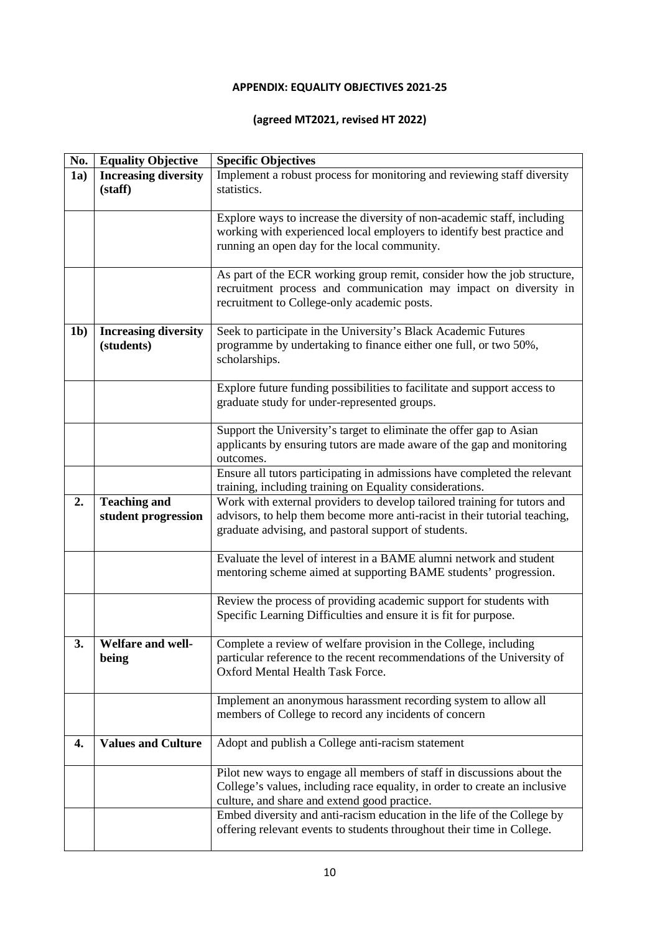# **APPENDIX: EQUALITY OBJECTIVES 2021-25**

## **(agreed MT2021, revised HT 2022)**

| No.            | <b>Equality Objective</b>   | <b>Specific Objectives</b>                                                 |
|----------------|-----------------------------|----------------------------------------------------------------------------|
| 1a)            | <b>Increasing diversity</b> | Implement a robust process for monitoring and reviewing staff diversity    |
|                | (staff)                     | statistics.                                                                |
|                |                             |                                                                            |
|                |                             | Explore ways to increase the diversity of non-academic staff, including    |
|                |                             | working with experienced local employers to identify best practice and     |
|                |                             | running an open day for the local community.                               |
|                |                             |                                                                            |
|                |                             | As part of the ECR working group remit, consider how the job structure,    |
|                |                             | recruitment process and communication may impact on diversity in           |
|                |                             | recruitment to College-only academic posts.                                |
|                |                             |                                                                            |
| 1 <sub>b</sub> | <b>Increasing diversity</b> | Seek to participate in the University's Black Academic Futures             |
|                | (students)                  | programme by undertaking to finance either one full, or two 50%,           |
|                |                             | scholarships.                                                              |
|                |                             |                                                                            |
|                |                             | Explore future funding possibilities to facilitate and support access to   |
|                |                             | graduate study for under-represented groups.                               |
|                |                             |                                                                            |
|                |                             | Support the University's target to eliminate the offer gap to Asian        |
|                |                             | applicants by ensuring tutors are made aware of the gap and monitoring     |
|                |                             | outcomes.                                                                  |
|                |                             | Ensure all tutors participating in admissions have completed the relevant  |
|                |                             | training, including training on Equality considerations.                   |
| 2.             | <b>Teaching and</b>         | Work with external providers to develop tailored training for tutors and   |
|                | student progression         | advisors, to help them become more anti-racist in their tutorial teaching, |
|                |                             | graduate advising, and pastoral support of students.                       |
|                |                             |                                                                            |
|                |                             | Evaluate the level of interest in a BAME alumni network and student        |
|                |                             | mentoring scheme aimed at supporting BAME students' progression.           |
|                |                             |                                                                            |
|                |                             | Review the process of providing academic support for students with         |
|                |                             | Specific Learning Difficulties and ensure it is fit for purpose.           |
|                |                             |                                                                            |
| 3.             | Welfare and well-           | Complete a review of welfare provision in the College, including           |
|                | being                       | particular reference to the recent recommendations of the University of    |
|                |                             | Oxford Mental Health Task Force.                                           |
|                |                             |                                                                            |
|                |                             | Implement an anonymous harassment recording system to allow all            |
|                |                             | members of College to record any incidents of concern                      |
|                |                             |                                                                            |
| 4.             | <b>Values and Culture</b>   | Adopt and publish a College anti-racism statement                          |
|                |                             |                                                                            |
|                |                             | Pilot new ways to engage all members of staff in discussions about the     |
|                |                             | College's values, including race equality, in order to create an inclusive |
|                |                             | culture, and share and extend good practice.                               |
|                |                             | Embed diversity and anti-racism education in the life of the College by    |
|                |                             | offering relevant events to students throughout their time in College.     |
|                |                             |                                                                            |